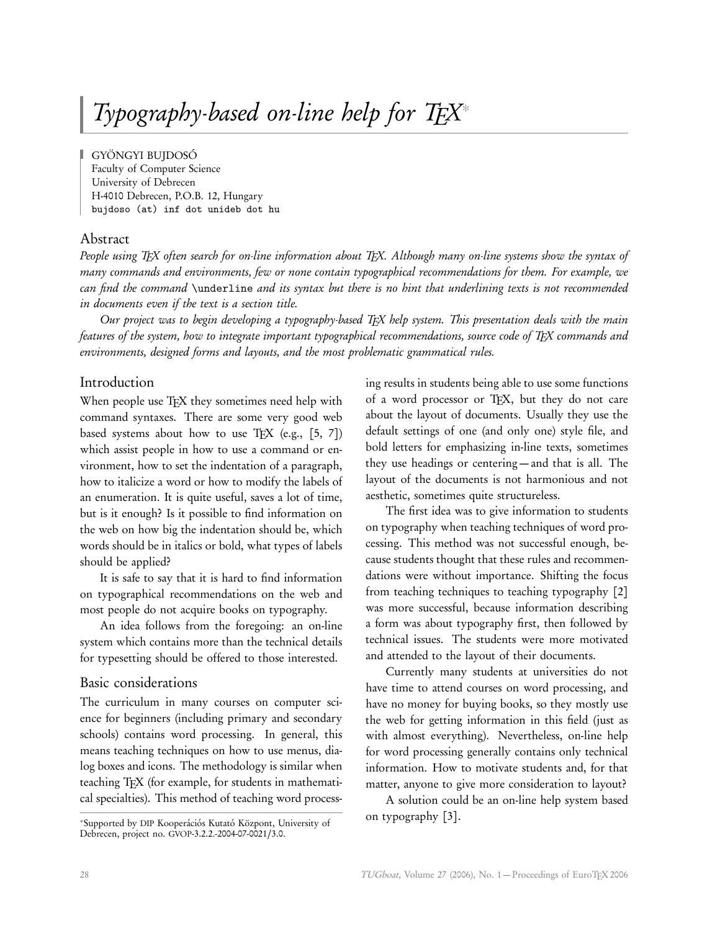# Typography-based on-line help for  $T_{E}X^*$

GYÖNGYI BUJDOSÓ Faculty of Computer Science University of Debrecen H-4010 Debrecen, P.O.B. 12, Hungary bujdoso (at) inf dot unideb dot hu

# Abstract

People using T<sub>F</sub>X often search for on-line information about T<sub>F</sub>X. Although many on-line systems show the syntax of many commands and environments, few or none contain typographical recommendations for them. For example, we can find the command \underline and its syntax but there is no hint that underlining texts is not recommended in documents even if the text is a section title.

Our project was to begin developing a typography-based TEX help system. This presentation deals with the main features of the system, how to integrate important typographical recommendations, source code of TEX commands and environments, designed forms and layouts, and the most problematic grammatical rules.

# Introduction

When people use TEX they sometimes need help with command syntaxes. There are some very good web based systems about how to use TFX (e.g.,  $[5, 7]$ ) which assist people in how to use a command or environment, how to set the indentation of a paragraph, how to italicize a word or how to modify the labels of an enumeration. It is quite useful, saves a lot of time, but is it enough? Is it possible to find information on the web on how big the indentation should be, which words should be in italics or bold, what types of labels should be applied?

It is safe to say that it is hard to find information on typographical recommendations on the web and most people do not acquire books on typography.

An idea follows from the foregoing: an on-line system which contains more than the technical details for typesetting should be offered to those interested.

## Basic considerations

The curriculum in many courses on computer science for beginners (including primary and secondary schools) contains word processing. In general, this means teaching techniques on how to use menus, dialog boxes and icons. The methodology is similar when teaching TEX (for example, for students in mathematical specialties). This method of teaching word process-

ing results in students being able to use some functions of a word processor or TEX, but they do not care about the layout of documents. Usually they use the default settings of one (and only one) style file, and bold letters for emphasizing in-line texts, sometimes they use headings or centering — and that is all. The layout of the documents is not harmonious and not aesthetic, sometimes quite structureless.

The first idea was to give information to students on typography when teaching techniques of word processing. This method was not successful enough, because students thought that these rules and recommendations were without importance. Shifting the focus from teaching techniques to teaching typography [2] was more successful, because information describing a form was about typography first, then followed by technical issues. The students were more motivated and attended to the layout of their documents.

Currently many students at universities do not have time to attend courses on word processing, and have no money for buying books, so they mostly use the web for getting information in this field (just as with almost everything). Nevertheless, on-line help for word processing generally contains only technical information. How to motivate students and, for that matter, anyone to give more consideration to layout?

A solution could be an on-line help system based on typography [3].

<sup>∗</sup>Supported by DIP Kooperációs Kutató Központ, University of Debrecen, project no. GVOP-3.2.2.-2004-07-0021/3.0.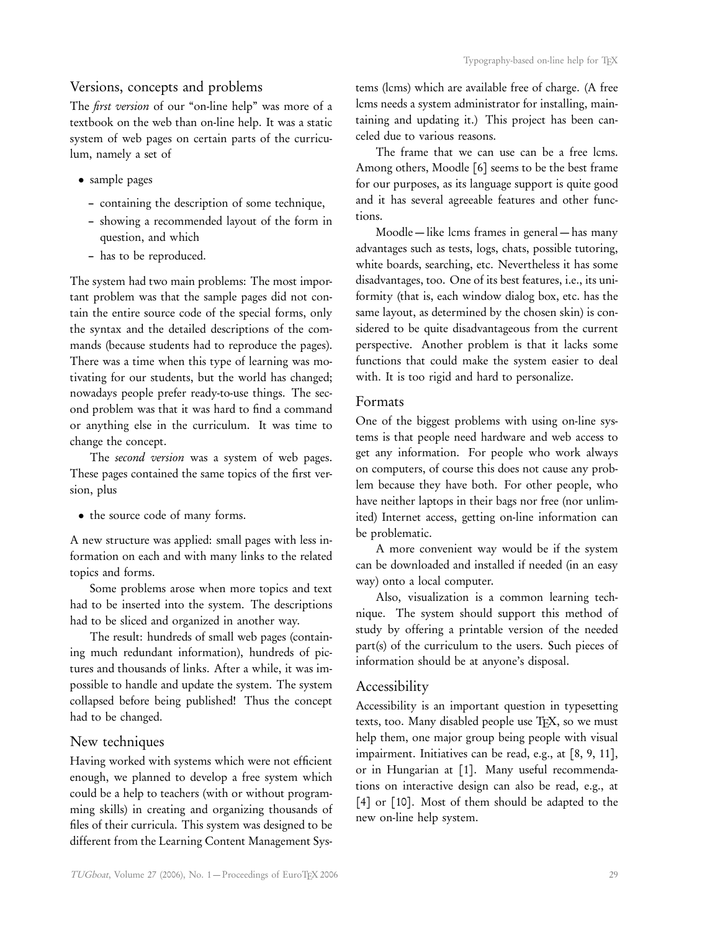# Versions, concepts and problems

The *first version* of our "on-line help" was more of a textbook on the web than on-line help. It was a static system of web pages on certain parts of the curriculum, namely a set of

- sample pages
	- containing the description of some technique,
	- showing a recommended layout of the form in question, and which
	- has to be reproduced.

The system had two main problems: The most important problem was that the sample pages did not contain the entire source code of the special forms, only the syntax and the detailed descriptions of the commands (because students had to reproduce the pages). There was a time when this type of learning was motivating for our students, but the world has changed; nowadays people prefer ready-to-use things. The second problem was that it was hard to find a command or anything else in the curriculum. It was time to change the concept.

The second version was a system of web pages. These pages contained the same topics of the first version, plus

• the source code of many forms.

A new structure was applied: small pages with less information on each and with many links to the related topics and forms.

Some problems arose when more topics and text had to be inserted into the system. The descriptions had to be sliced and organized in another way.

The result: hundreds of small web pages (containing much redundant information), hundreds of pictures and thousands of links. After a while, it was impossible to handle and update the system. The system collapsed before being published! Thus the concept had to be changed.

## New techniques

Having worked with systems which were not efficient enough, we planned to develop a free system which could be a help to teachers (with or without programming skills) in creating and organizing thousands of files of their curricula. This system was designed to be different from the Learning Content Management Systems (lcms) which are available free of charge. (A free lcms needs a system administrator for installing, maintaining and updating it.) This project has been canceled due to various reasons.

The frame that we can use can be a free lcms. Among others, Moodle [6] seems to be the best frame for our purposes, as its language support is quite good and it has several agreeable features and other functions.

Moodle — like lcms frames in general — has many advantages such as tests, logs, chats, possible tutoring, white boards, searching, etc. Nevertheless it has some disadvantages, too. One of its best features, i.e., its uniformity (that is, each window dialog box, etc. has the same layout, as determined by the chosen skin) is considered to be quite disadvantageous from the current perspective. Another problem is that it lacks some functions that could make the system easier to deal with. It is too rigid and hard to personalize.

#### Formats

One of the biggest problems with using on-line systems is that people need hardware and web access to get any information. For people who work always on computers, of course this does not cause any problem because they have both. For other people, who have neither laptops in their bags nor free (nor unlimited) Internet access, getting on-line information can be problematic.

A more convenient way would be if the system can be downloaded and installed if needed (in an easy way) onto a local computer.

Also, visualization is a common learning technique. The system should support this method of study by offering a printable version of the needed part(s) of the curriculum to the users. Such pieces of information should be at anyone's disposal.

## Accessibility

Accessibility is an important question in typesetting texts, too. Many disabled people use TFX, so we must help them, one major group being people with visual impairment. Initiatives can be read, e.g., at [8, 9, 11], or in Hungarian at [1]. Many useful recommendations on interactive design can also be read, e.g., at [4] or [10]. Most of them should be adapted to the new on-line help system.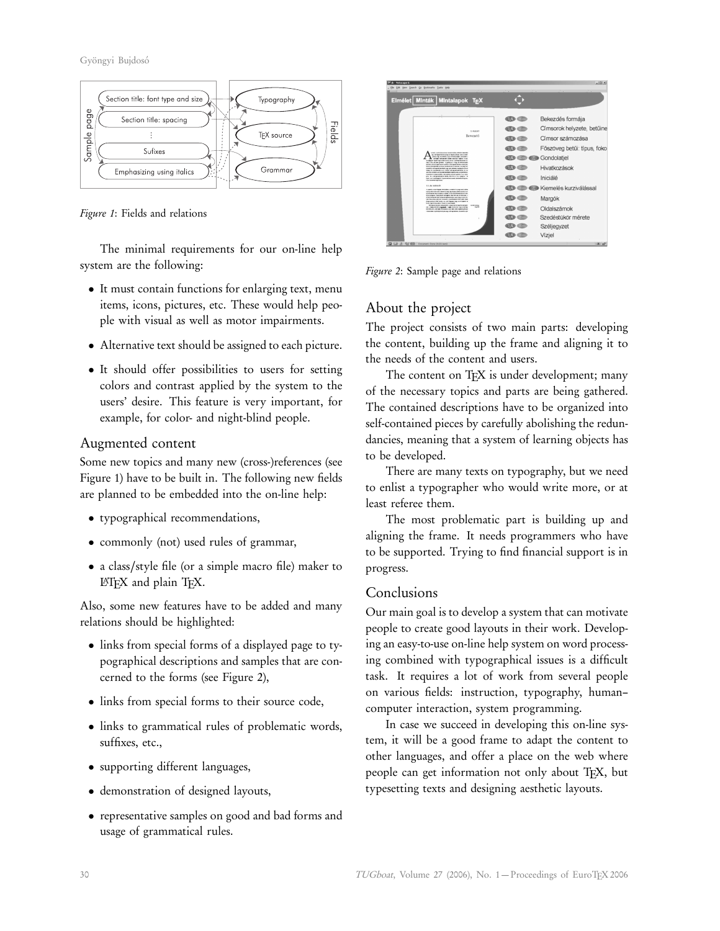Gyöngyi Bujdosó



Figure 1: Fields and relations

The minimal requirements for our on-line help system are the following:

- It must contain functions for enlarging text, menu items, icons, pictures, etc. These would help people with visual as well as motor impairments.
- Alternative text should be assigned to each picture.
- It should offer possibilities to users for setting colors and contrast applied by the system to the users' desire. This feature is very important, for example, for color- and night-blind people.

# Augmented content

Some new topics and many new (cross-)references (see Figure 1) have to be built in. The following new fields are planned to be embedded into the on-line help:

- typographical recommendations,
- commonly (not) used rules of grammar,
- a class/style file (or a simple macro file) maker to LATEX and plain TEX.

Also, some new features have to be added and many relations should be highlighted:

- links from special forms of a displayed page to typographical descriptions and samples that are concerned to the forms (see Figure 2),
- links from special forms to their source code,
- links to grammatical rules of problematic words, suffixes, etc.,
- supporting different languages,
- demonstration of designed layouts,
- representative samples on good and bad forms and usage of grammatical rules.



Figure 2: Sample page and relations

# About the project

The project consists of two main parts: developing the content, building up the frame and aligning it to the needs of the content and users.

The content on T<sub>E</sub>X is under development; many of the necessary topics and parts are being gathered. The contained descriptions have to be organized into self-contained pieces by carefully abolishing the redundancies, meaning that a system of learning objects has to be developed.

There are many texts on typography, but we need to enlist a typographer who would write more, or at least referee them.

The most problematic part is building up and aligning the frame. It needs programmers who have to be supported. Trying to find financial support is in progress.

## Conclusions

Our main goal is to develop a system that can motivate people to create good layouts in their work. Developing an easy-to-use on-line help system on word processing combined with typographical issues is a difficult task. It requires a lot of work from several people on various fields: instruction, typography, human– computer interaction, system programming.

In case we succeed in developing this on-line system, it will be a good frame to adapt the content to other languages, and offer a place on the web where people can get information not only about TEX, but typesetting texts and designing aesthetic layouts.